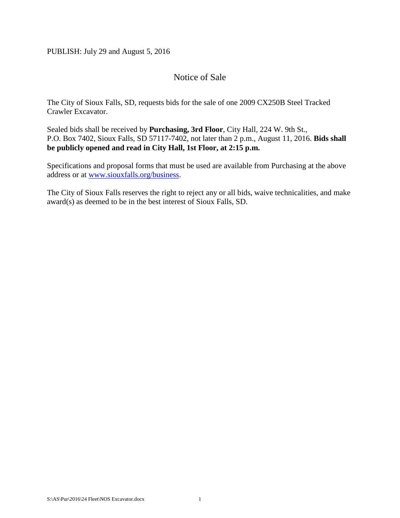# Notice of Sale

The City of Sioux Falls, SD, requests bids for the sale of one 2009 CX250B Steel Tracked Crawler Excavator.

Sealed bids shall be received by **Purchasing, 3rd Floor**, City Hall, 224 W. 9th St., P.O. Box 7402, Sioux Falls, SD 57117-7402, not later than 2 p.m., August 11, 2016. **Bids shall be publicly opened and read in City Hall, 1st Floor, at 2:15 p.m.**

Specifications and proposal forms that must be used are available from Purchasing at the above address or at [www.siouxfalls.org/business.](http://www.siouxfalls.org/business)

The City of Sioux Falls reserves the right to reject any or all bids, waive technicalities, and make award(s) as deemed to be in the best interest of Sioux Falls, SD.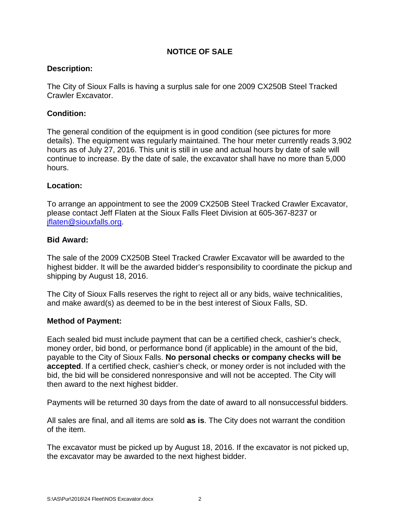# **NOTICE OF SALE**

# **Description:**

The City of Sioux Falls is having a surplus sale for one 2009 CX250B Steel Tracked Crawler Excavator.

# **Condition:**

The general condition of the equipment is in good condition (see pictures for more details). The equipment was regularly maintained. The hour meter currently reads 3,902 hours as of July 27, 2016. This unit is still in use and actual hours by date of sale will continue to increase. By the date of sale, the excavator shall have no more than 5,000 hours.

#### **Location:**

To arrange an appointment to see the 2009 CX250B Steel Tracked Crawler Excavator, please contact Jeff Flaten at the Sioux Falls Fleet Division at 605-367-8237 or [jflaten@siouxfalls.org.](mailto:jflaten@siouxfalls.org)

#### **Bid Award:**

The sale of the 2009 CX250B Steel Tracked Crawler Excavator will be awarded to the highest bidder. It will be the awarded bidder's responsibility to coordinate the pickup and shipping by August 18, 2016.

The City of Sioux Falls reserves the right to reject all or any bids, waive technicalities, and make award(s) as deemed to be in the best interest of Sioux Falls, SD.

# **Method of Payment:**

Each sealed bid must include payment that can be a certified check, cashier's check, money order, bid bond, or performance bond (if applicable) in the amount of the bid, payable to the City of Sioux Falls. **No personal checks or company checks will be accepted**. If a certified check, cashier's check, or money order is not included with the bid, the bid will be considered nonresponsive and will not be accepted. The City will then award to the next highest bidder.

Payments will be returned 30 days from the date of award to all nonsuccessful bidders.

All sales are final, and all items are sold **as is**. The City does not warrant the condition of the item.

The excavator must be picked up by August 18, 2016. If the excavator is not picked up, the excavator may be awarded to the next highest bidder.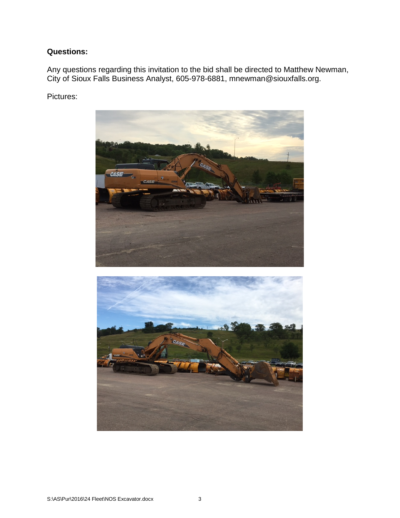# **Questions:**

Any questions regarding this invitation to the bid shall be directed to Matthew Newman, City of Sioux Falls Business Analyst, 605-978-6881, mnewman@siouxfalls.org.

Pictures:



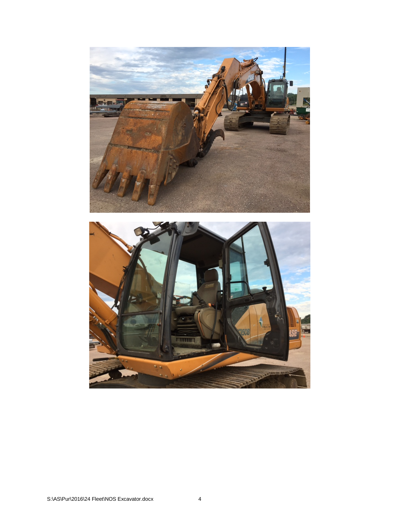